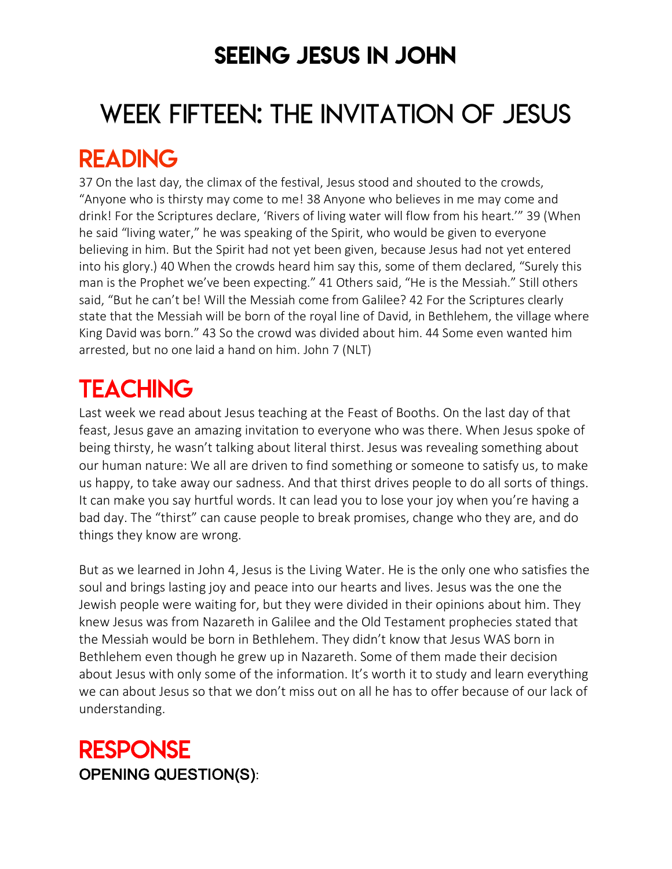### SEEING JESUS IN JOHN

# WEEK FIFTEEN: THE INVITATION OF JESUS

### READING

37 On the last day, the climax of the festival, Jesus stood and shouted to the crowds, "Anyone who is thirsty may come to me! 38 Anyone who believes in me may come and drink! For the Scriptures declare, 'Rivers of living water will flow from his heart.'" 39 (When he said "living water," he was speaking of the Spirit, who would be given to everyone believing in him. But the Spirit had not yet been given, because Jesus had not yet entered into his glory.) 40 When the crowds heard him say this, some of them declared, "Surely this man is the Prophet we've been expecting." 41 Others said, "He is the Messiah." Still others said, "But he can't be! Will the Messiah come from Galilee? 42 For the Scriptures clearly state that the Messiah will be born of the royal line of David, in Bethlehem, the village where King David was born." 43 So the crowd was divided about him. 44 Some even wanted him arrested, but no one laid a hand on him. John 7 (NLT)

## **TEACHING**

Last week we read about Jesus teaching at the Feast of Booths. On the last day of that feast, Jesus gave an amazing invitation to everyone who was there. When Jesus spoke of being thirsty, he wasn't talking about literal thirst. Jesus was revealing something about our human nature: We all are driven to find something or someone to satisfy us, to make us happy, to take away our sadness. And that thirst drives people to do all sorts of things. It can make you say hurtful words. It can lead you to lose your joy when you're having a bad day. The "thirst" can cause people to break promises, change who they are, and do things they know are wrong.

But as we learned in John 4, Jesus is the Living Water. He is the only one who satisfies the soul and brings lasting joy and peace into our hearts and lives. Jesus was the one the Jewish people were waiting for, but they were divided in their opinions about him. They knew Jesus was from Nazareth in Galilee and the Old Testament prophecies stated that the Messiah would be born in Bethlehem. They didn't know that Jesus WAS born in Bethlehem even though he grew up in Nazareth. Some of them made their decision about Jesus with only some of the information. It's worth it to study and learn everything we can about Jesus so that we don't miss out on all he has to offer because of our lack of understanding.

### RESPONSE OPENING QUESTION(S):